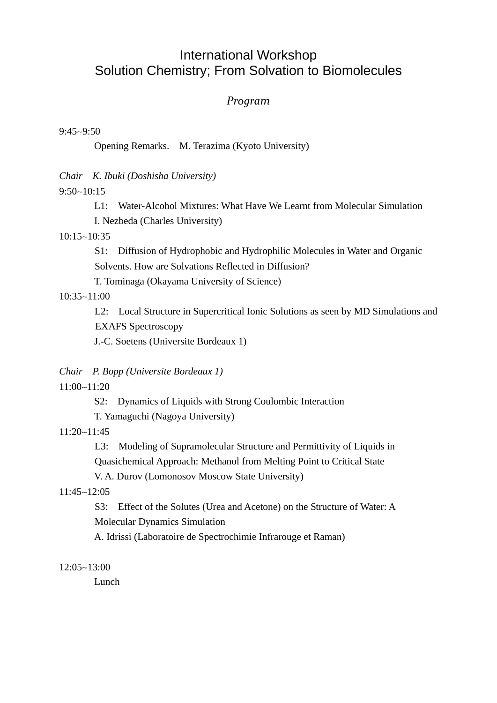# International Workshop Solution Chemistry; From Solvation to Biomolecules

## *Program*

9:45∼9:50

Opening Remarks. M. Terazima (Kyoto University)

*Chair K. Ibuki (Doshisha University)* 

9:50∼10:15

L1: Water-Alcohol Mixtures: What Have We Learnt from Molecular Simulation

I. Nezbeda (Charles University)

10:15∼10:35

 S1: Diffusion of Hydrophobic and Hydrophilic Molecules in Water and Organic Solvents. How are Solvations Reflected in Diffusion?

T. Tominaga (Okayama University of Science)

## 10:35∼11:00

L2: Local Structure in Supercritical Ionic Solutions as seen by MD Simulations and EXAFS Spectroscopy

J.-C. Soetens (Universite Bordeaux 1)

*Chair P. Bopp (Universite Bordeaux 1)* 

11:00∼11:20

S2: Dynamics of Liquids with Strong Coulombic Interaction

T. Yamaguchi (Nagoya University)

11:20∼11:45

 L3: Modeling of Supramolecular Structure and Permittivity of Liquids in Quasichemical Approach: Methanol from Melting Point to Critical State

V. A. Durov (Lomonosov Moscow State University)

## 11:45∼12:05

 S3: Effect of the Solutes (Urea and Acetone) on the Structure of Water: A Molecular Dynamics Simulation

A. Idrissi (Laboratoire de Spectrochimie Infrarouge et Raman)

12:05∼13:00

Lunch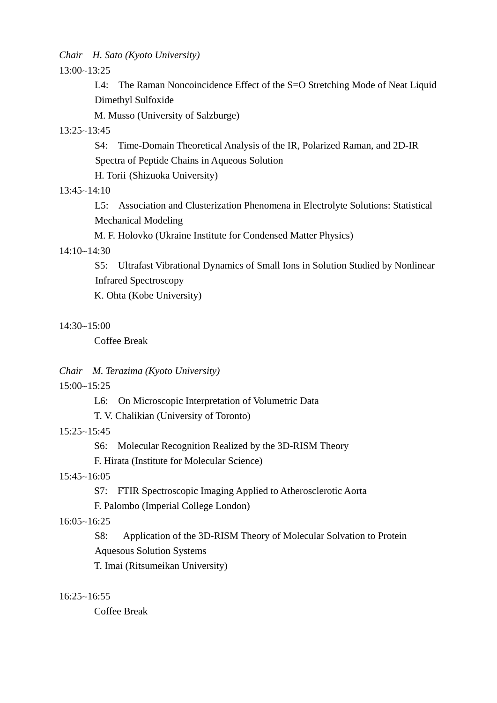*Chair H. Sato (Kyoto University)* 

13:00∼13:25

 L4: The Raman Noncoincidence Effect of the S=O Stretching Mode of Neat Liquid Dimethyl Sulfoxide

M. Musso (University of Salzburge)

## 13:25∼13:45

S4: Time-Domain Theoretical Analysis of the IR, Polarized Raman, and 2D-IR Spectra of Peptide Chains in Aqueous Solution

H. Torii (Shizuoka University)

## 13:45∼14:10

 L5: Association and Clusterization Phenomena in Electrolyte Solutions: Statistical Mechanical Modeling

M. F. Holovko (Ukraine Institute for Condensed Matter Physics)

## 14:10∼14:30

S5: Ultrafast Vibrational Dynamics of Small Ions in Solution Studied by Nonlinear Infrared Spectroscopy

K. Ohta (Kobe University)

## 14:30∼15:00

Coffee Break

#### *Chair M. Terazima (Kyoto University)*

15:00∼15:25

- L6: On Microscopic Interpretation of Volumetric Data
- T. V. Chalikian (University of Toronto)

#### 15:25∼15:45

S6: Molecular Recognition Realized by the 3D-RISM Theory

F. Hirata (Institute for Molecular Science)

## 15:45∼16:05

S7: FTIR Spectroscopic Imaging Applied to Atherosclerotic Aorta

F. Palombo (Imperial College London)

## 16:05∼16:25

 S8: Application of the 3D-RISM Theory of Molecular Solvation to Protein Aquesous Solution Systems

T. Imai (Ritsumeikan University)

#### 16:25∼16:55

Coffee Break